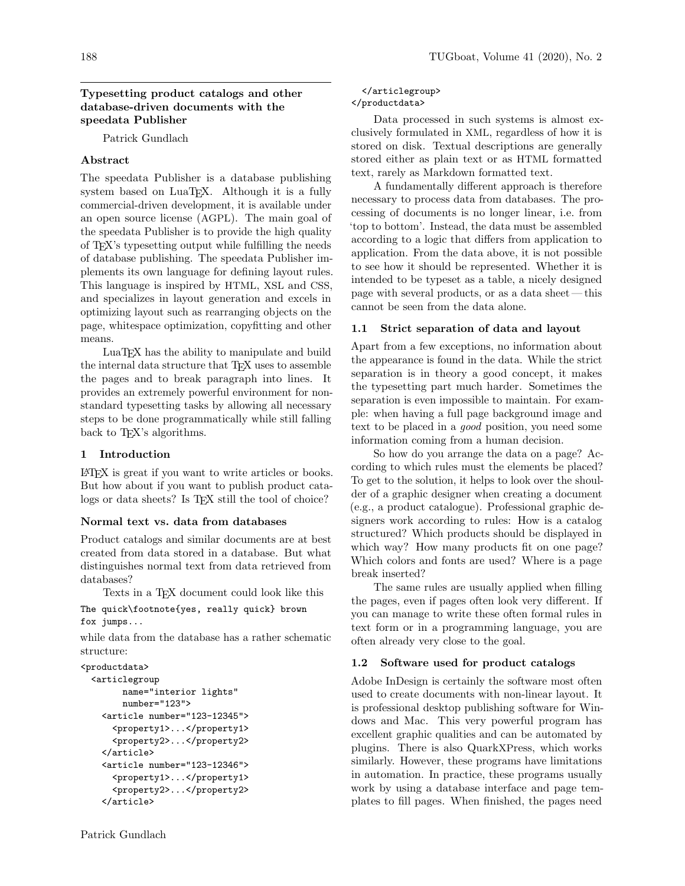## Typesetting product catalogs and other database-driven documents with the speedata Publisher

Patrick Gundlach

# Abstract

The speedata Publisher is a database publishing system based on LuaT<sub>E</sub>X. Although it is a fully commercial-driven development, it is available under an open source license (AGPL). The main goal of the speedata Publisher is to provide the high quality of TEX's typesetting output while fulfilling the needs of database publishing. The speedata Publisher implements its own language for defining layout rules. This language is inspired by HTML, XSL and CSS, and specializes in layout generation and excels in optimizing layout such as rearranging objects on the page, whitespace optimization, copyfitting and other means.

LuaTEX has the ability to manipulate and build the internal data structure that T<sub>EX</sub> uses to assemble the pages and to break paragraph into lines. It provides an extremely powerful environment for nonstandard typesetting tasks by allowing all necessary steps to be done programmatically while still falling back to TEX's algorithms.

## 1 Introduction

LATEX is great if you want to write articles or books. But how about if you want to publish product catalogs or data sheets? Is TFX still the tool of choice?

## Normal text vs. data from databases

Product catalogs and similar documents are at best created from data stored in a database. But what distinguishes normal text from data retrieved from databases?

Texts in a TEX document could look like this

```
The quick\footnote{yes, really quick} brown
fox jumps...
```
while data from the database has a rather schematic structure:

```
<productdata>
  <articlegroup
       name="interior lights"
       number="123">
   <article number="123-12345">
      <property1>...</property1>
      <property2>...</property2>
    </article>
    <article number="123-12346">
      <property1>...</property1>
      <property2>...</property2>
    </article>
```
Data processed in such systems is almost exclusively formulated in XML, regardless of how it is stored on disk. Textual descriptions are generally stored either as plain text or as HTML formatted text, rarely as Markdown formatted text.

A fundamentally different approach is therefore necessary to process data from databases. The processing of documents is no longer linear, i.e. from 'top to bottom'. Instead, the data must be assembled according to a logic that differs from application to application. From the data above, it is not possible to see how it should be represented. Whether it is intended to be typeset as a table, a nicely designed page with several products, or as a data sheet — this cannot be seen from the data alone.

# 1.1 Strict separation of data and layout

Apart from a few exceptions, no information about the appearance is found in the data. While the strict separation is in theory a good concept, it makes the typesetting part much harder. Sometimes the separation is even impossible to maintain. For example: when having a full page background image and text to be placed in a good position, you need some information coming from a human decision.

So how do you arrange the data on a page? According to which rules must the elements be placed? To get to the solution, it helps to look over the shoulder of a graphic designer when creating a document (e.g., a product catalogue). Professional graphic designers work according to rules: How is a catalog structured? Which products should be displayed in which way? How many products fit on one page? Which colors and fonts are used? Where is a page break inserted?

The same rules are usually applied when filling the pages, even if pages often look very different. If you can manage to write these often formal rules in text form or in a programming language, you are often already very close to the goal.

# 1.2 Software used for product catalogs

Adobe InDesign is certainly the software most often used to create documents with non-linear layout. It is professional desktop publishing software for Windows and Mac. This very powerful program has excellent graphic qualities and can be automated by plugins. There is also QuarkXPress, which works similarly. However, these programs have limitations in automation. In practice, these programs usually work by using a database interface and page templates to fill pages. When finished, the pages need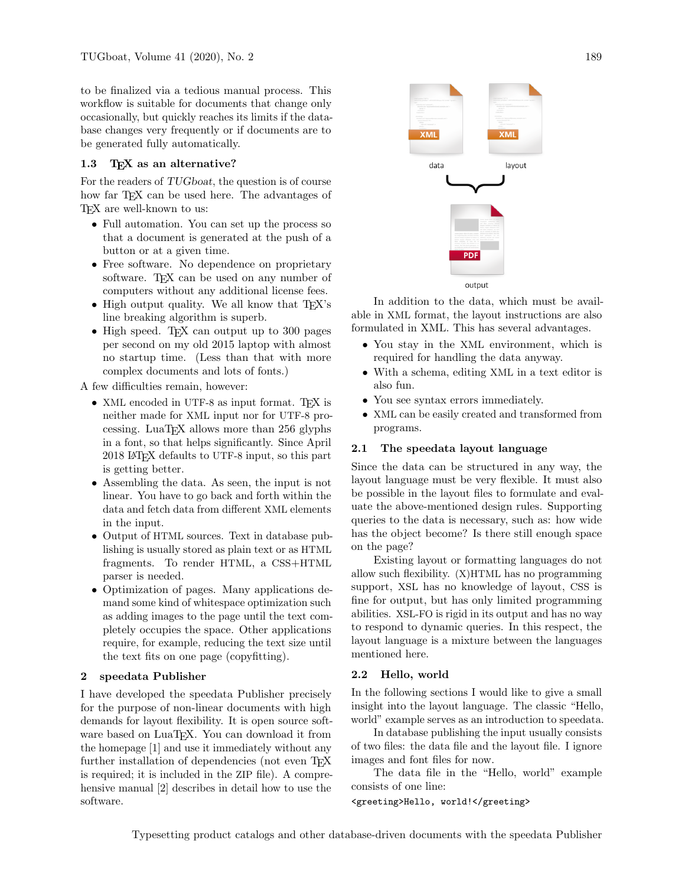to be finalized via a tedious manual process. This workflow is suitable for documents that change only occasionally, but quickly reaches its limits if the database changes very frequently or if documents are to be generated fully automatically.

## 1.3 TEX as an alternative?

For the readers of TUGboat, the question is of course how far TEX can be used here. The advantages of TEX are well-known to us:

- Full automation. You can set up the process so that a document is generated at the push of a button or at a given time.
- Free software. No dependence on proprietary software. T<sub>EX</sub> can be used on any number of computers without any additional license fees.
- High output quality. We all know that  $T_F X$ 's line breaking algorithm is superb.
- High speed. TFX can output up to 300 pages per second on my old 2015 laptop with almost no startup time. (Less than that with more complex documents and lots of fonts.)

A few difficulties remain, however:

- XML encoded in UTF-8 as input format. T<sub>F</sub>X is neither made for XML input nor for UTF-8 processing. LuaTEX allows more than 256 glyphs in a font, so that helps significantly. Since April 2018 LATEX defaults to UTF-8 input, so this part is getting better.
- Assembling the data. As seen, the input is not linear. You have to go back and forth within the data and fetch data from different XML elements in the input.
- Output of HTML sources. Text in database publishing is usually stored as plain text or as HTML fragments. To render HTML, a CSS+HTML parser is needed.
- Optimization of pages. Many applications demand some kind of whitespace optimization such as adding images to the page until the text completely occupies the space. Other applications require, for example, reducing the text size until the text fits on one page (copyfitting).

## 2 speedata Publisher

I have developed the speedata Publisher precisely for the purpose of non-linear documents with high demands for layout flexibility. It is open source software based on LuaT<sub>EX</sub>. You can download it from the homepage [\[1\]](#page-5-0) and use it immediately without any further installation of dependencies (not even T<sub>E</sub>X is required; it is included in the ZIP file). A comprehensive manual [\[2\]](#page-5-1) describes in detail how to use the software.



In addition to the data, which must be available in XML format, the layout instructions are also formulated in XML. This has several advantages.

- You stay in the XML environment, which is required for handling the data anyway.
- With a schema, editing XML in a text editor is also fun.
- You see syntax errors immediately.
- XML can be easily created and transformed from programs.

#### 2.1 The speedata layout language

Since the data can be structured in any way, the layout language must be very flexible. It must also be possible in the layout files to formulate and evaluate the above-mentioned design rules. Supporting queries to the data is necessary, such as: how wide has the object become? Is there still enough space on the page?

Existing layout or formatting languages do not allow such flexibility. (X)HTML has no programming support, XSL has no knowledge of layout, CSS is fine for output, but has only limited programming abilities. XSL-FO is rigid in its output and has no way to respond to dynamic queries. In this respect, the layout language is a mixture between the languages mentioned here.

#### 2.2 Hello, world

In the following sections I would like to give a small insight into the layout language. The classic "Hello, world" example serves as an introduction to speedata.

In database publishing the input usually consists of two files: the data file and the layout file. I ignore images and font files for now.

The data file in the "Hello, world" example consists of one line:

<greeting>Hello, world!</greeting>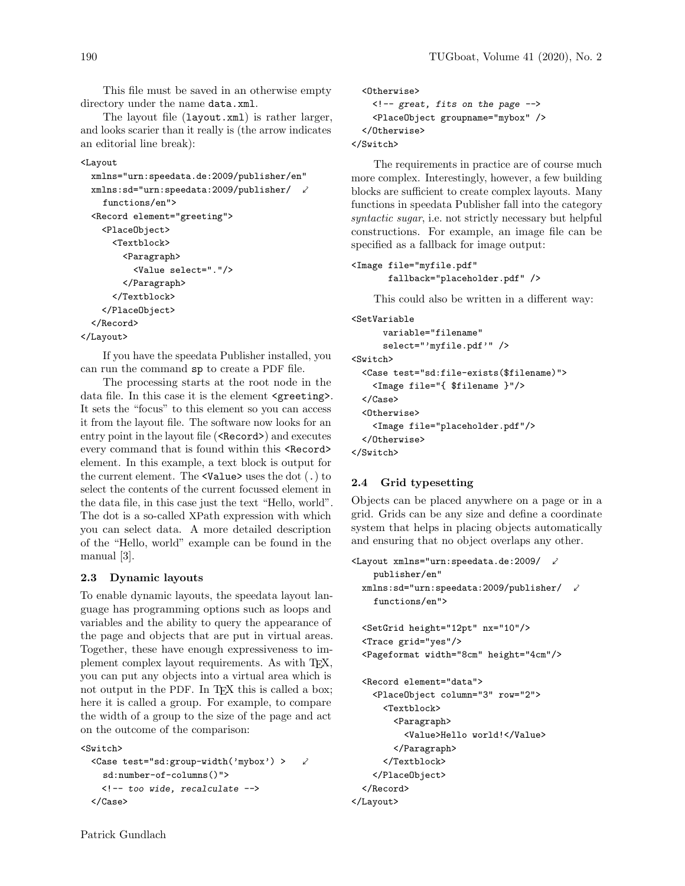This file must be saved in an otherwise empty directory under the name data.xml.

The layout file (layout.xml) is rather larger, and looks scarier than it really is (the arrow indicates an editorial line break):

```
<Layout
```

```
xmlns="urn:speedata.de:2009/publisher/en"
xmlns:sd="urn:speedata:2009/publisher/ ⤦
  functions/en">
<Record element="greeting">
 <PlaceObject>
    <Textblock>
      <Paragraph>
        <Value select="."/>
      </Paragraph>
    </Textblock>
 </PlaceObject>
</Record>
```
</Layout>

If you have the speedata Publisher installed, you can run the command sp to create a PDF file.

The processing starts at the root node in the data file. In this case it is the element <greeting>. It sets the "focus" to this element so you can access it from the layout file. The software now looks for an entry point in the layout file (<Record>) and executes every command that is found within this <Record> element. In this example, a text block is output for the current element. The  $\langle$ Value $\rangle$  uses the dot (.) to select the contents of the current focussed element in the data file, in this case just the text "Hello, world". The dot is a so-called XPath expression with which you can select data. A more detailed description of the "Hello, world" example can be found in the manual [\[3\]](#page-5-2).

## 2.3 Dynamic layouts

To enable dynamic layouts, the speedata layout language has programming options such as loops and variables and the ability to query the appearance of the page and objects that are put in virtual areas. Together, these have enough expressiveness to implement complex layout requirements. As with TFX, you can put any objects into a virtual area which is not output in the PDF. In T<sub>E</sub>X this is called a box; here it is called a group. For example, to compare the width of a group to the size of the page and act on the outcome of the comparison:

```
<Switch>
```

```
<Case test="sd:group-width('mybox') > \anglesd:number-of-columns()">
  <!-- too wide, recalculate -->
</Case>
```

```
<Otherwise>
   <!-- great, fits on the page -->
   <PlaceObject groupname="mybox" />
  </Otherwise>
</Switch>
```
The requirements in practice are of course much more complex. Interestingly, however, a few building blocks are sufficient to create complex layouts. Many functions in speedata Publisher fall into the category syntactic sugar, i.e. not strictly necessary but helpful constructions. For example, an image file can be specified as a fallback for image output:

```
<Image file="myfile.pdf"
       fallback="placeholder.pdf" />
```
This could also be written in a different way:

```
<SetVariable
     variable="filename"
     select="'myfile.pdf'" />
<Switch>
  <Case test="sd:file-exists($filename)">
   <Image file="{ $filename }"/>
 </Case>
  <Otherwise>
   <Image file="placeholder.pdf"/>
 </Otherwise>
</Switch>
```
## 2.4 Grid typesetting

Objects can be placed anywhere on a page or in a grid. Grids can be any size and define a coordinate system that helps in placing objects automatically and ensuring that no object overlaps any other.

```
<Layout xmlns="urn:speedata.de:2009/ ⤦
    publisher/en"
 xmlns:sd="urn:speedata:2009/publisher/ <math>\sqrt{2}</math>functions/en">
  <SetGrid height="12pt" nx="10"/>
  <Trace grid="yes"/>
  <Pageformat width="8cm" height="4cm"/>
  <Record element="data">
    <PlaceObject column="3" row="2">
      <Textblock>
        <Paragraph>
          <Value>Hello world!</Value>
        </Paragraph>
      </Textblock>
    </PlaceObject>
  </Record>
</Layout>
```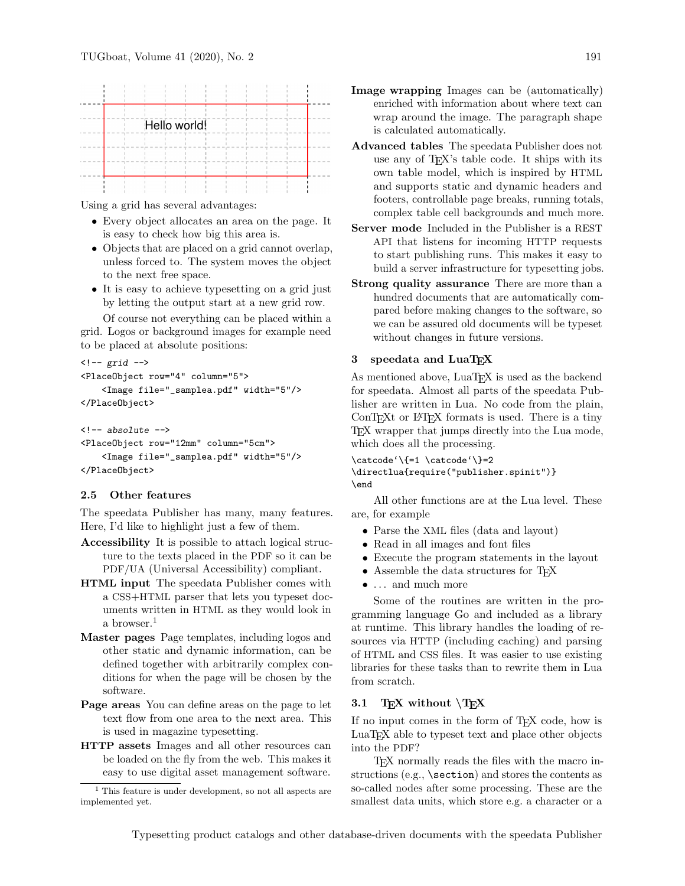

Using a grid has several advantages:

- Every object allocates an area on the page. It is easy to check how big this area is.
- Objects that are placed on a grid cannot overlap, unless forced to. The system moves the object to the next free space.
- It is easy to achieve typesetting on a grid just by letting the output start at a new grid row.

Of course not everything can be placed within a grid. Logos or background images for example need to be placed at absolute positions:

```
\leftarrow -- grid -->
<PlaceObject row="4" column="5">
    <Image file="_samplea.pdf" width="5"/>
</PlaceObject>
```

```
\left\langle -\right\rangle absolute -->
<PlaceObject row="12mm" column="5cm">
     <Image file="_samplea.pdf" width="5"/>
</PlaceObject>
```
#### 2.5 Other features

The speedata Publisher has many, many features. Here, I'd like to highlight just a few of them.

- Accessibility It is possible to attach logical structure to the texts placed in the PDF so it can be PDF/UA (Universal Accessibility) compliant.
- HTML input The speedata Publisher comes with a CSS+HTML parser that lets you typeset documents written in HTML as they would look in a browser.<sup>[1](#page-3-0)</sup>
- Master pages Page templates, including logos and other static and dynamic information, can be defined together with arbitrarily complex conditions for when the page will be chosen by the software.
- Page areas You can define areas on the page to let text flow from one area to the next area. This is used in magazine typesetting.
- HTTP assets Images and all other resources can be loaded on the fly from the web. This makes it easy to use digital asset management software.
- Image wrapping Images can be (automatically) enriched with information about where text can wrap around the image. The paragraph shape is calculated automatically.
- Advanced tables The speedata Publisher does not use any of TEX's table code. It ships with its own table model, which is inspired by HTML and supports static and dynamic headers and footers, controllable page breaks, running totals, complex table cell backgrounds and much more.
- Server mode Included in the Publisher is a REST API that listens for incoming HTTP requests to start publishing runs. This makes it easy to build a server infrastructure for typesetting jobs.
- Strong quality assurance There are more than a hundred documents that are automatically compared before making changes to the software, so we can be assured old documents will be typeset without changes in future versions.

#### 3 speedata and LuaT<sub>F</sub>X

As mentioned above, LuaT<sub>EX</sub> is used as the backend for speedata. Almost all parts of the speedata Publisher are written in Lua. No code from the plain, ConTEXt or LATEX formats is used. There is a tiny TEX wrapper that jumps directly into the Lua mode, which does all the processing.

 $\catcode' \{=1 \catcode' \} = 2$ \directlua{require("publisher.spinit")} \end

All other functions are at the Lua level. These are, for example

- Parse the XML files (data and layout)
- Read in all images and font files
- Execute the program statements in the layout
- Assemble the data structures for TEX
- $\bullet \ldots$  and much more

Some of the routines are written in the programming language Go and included as a library at runtime. This library handles the loading of resources via HTTP (including caching) and parsing of HTML and CSS files. It was easier to use existing libraries for these tasks than to rewrite them in Lua from scratch.

## 3.1 TFX without  $\langle$ TFX

If no input comes in the form of TEX code, how is LuaT<sub>EX</sub> able to typeset text and place other objects into the PDF?

TEX normally reads the files with the macro instructions (e.g., \section) and stores the contents as so-called nodes after some processing. These are the smallest data units, which store e.g. a character or a

<span id="page-3-0"></span><sup>1</sup> This feature is under development, so not all aspects are implemented yet.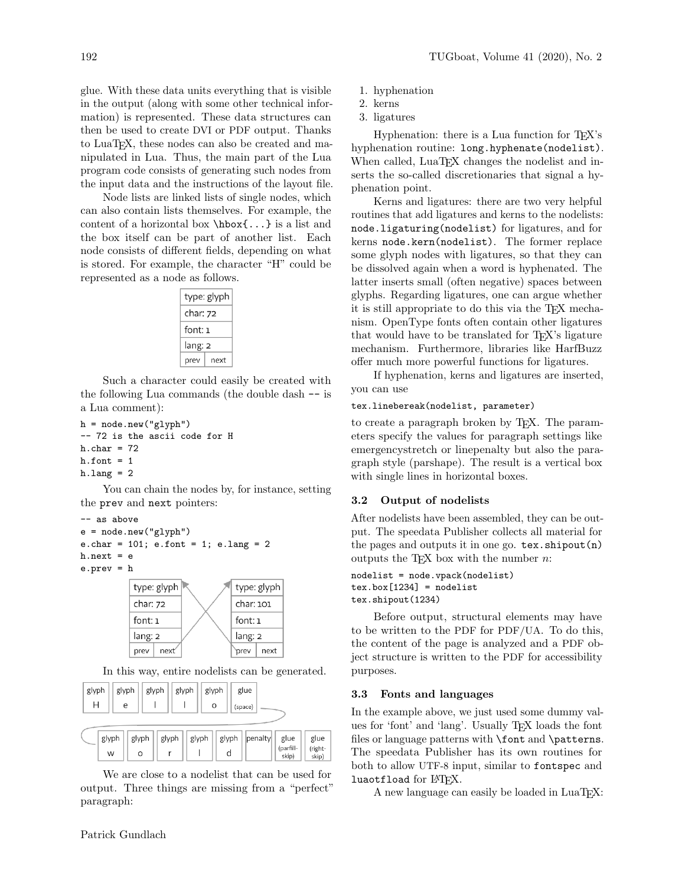glue. With these data units everything that is visible in the output (along with some other technical information) is represented. These data structures can then be used to create DVI or PDF output. Thanks to LuaTEX, these nodes can also be created and manipulated in Lua. Thus, the main part of the Lua program code consists of generating such nodes from the input data and the instructions of the layout file.

Node lists are linked lists of single nodes, which can also contain lists themselves. For example, the content of a horizontal box  $\hbox{\bf\{\ldots\}}$  is a list and the box itself can be part of another list. Each node consists of different fields, depending on what is stored. For example, the character "H" could be represented as a node as follows.

|          | type: glyph |  |
|----------|-------------|--|
| char: 72 |             |  |
| font: 1  |             |  |
| lang: 2  |             |  |
| prev     | next        |  |

Such a character could easily be created with the following Lua commands (the double dash -- is a Lua comment):

```
h = node.new("glyph")
-- 72 is the ascii code for H
h.char = 72h.font = 1h.lang = 2
```
You can chain the nodes by, for instance, setting the prev and next pointers:

```
-- as above
e = node.new("glyph")e.char = 101; e.font = 1; e.lang = 2
h.next = e
e.prev = h
```

| type: glyph  |         |           | type: glyph |
|--------------|---------|-----------|-------------|
| char: 72     |         | char: 101 |             |
| font: $1$    |         | font: $1$ |             |
| lang: 2      | lang: 2 |           |             |
| next<br>prev |         | prev      | next        |

In this way, entire nodelists can be generated.



We are close to a nodelist that can be used for output. Three things are missing from a "perfect" paragraph:

- 1. hyphenation
- 2. kerns
- 3. ligatures

Hyphenation: there is a Lua function for TEX's hyphenation routine: long.hyphenate(nodelist). When called, LuaT<sub>EX</sub> changes the nodelist and inserts the so-called discretionaries that signal a hyphenation point.

Kerns and ligatures: there are two very helpful routines that add ligatures and kerns to the nodelists: node.ligaturing(nodelist) for ligatures, and for kerns node.kern(nodelist). The former replace some glyph nodes with ligatures, so that they can be dissolved again when a word is hyphenated. The latter inserts small (often negative) spaces between glyphs. Regarding ligatures, one can argue whether it is still appropriate to do this via the TEX mechanism. OpenType fonts often contain other ligatures that would have to be translated for TEX's ligature mechanism. Furthermore, libraries like HarfBuzz offer much more powerful functions for ligatures.

If hyphenation, kerns and ligatures are inserted, you can use

## tex.linebereak(nodelist, parameter)

to create a paragraph broken by TEX. The parameters specify the values for paragraph settings like emergencystretch or linepenalty but also the paragraph style (parshape). The result is a vertical box with single lines in horizontal boxes.

#### 3.2 Output of nodelists

After nodelists have been assembled, they can be output. The speedata Publisher collects all material for the pages and outputs it in one go.  $text{tex.}\sin\theta$ outputs the TEX box with the number  $n$ :

```
nodelist = node.vpack(nodelist)
tex. box[1234] = nodelisttex.shipout(1234)
```
Before output, structural elements may have to be written to the PDF for PDF/UA. To do this, the content of the page is analyzed and a PDF object structure is written to the PDF for accessibility purposes.

#### 3.3 Fonts and languages

In the example above, we just used some dummy values for 'font' and 'lang'. Usually T<sub>EX</sub> loads the font files or language patterns with **\font** and **\patterns**. The speedata Publisher has its own routines for both to allow UTF-8 input, similar to fontspec and luaotfload for L<sup>H</sup>FX.

A new language can easily be loaded in LuaT<sub>EX</sub>: